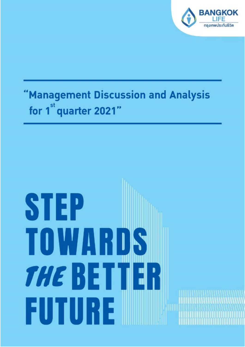

# "Management Discussion and Analysis for 1<sup>st</sup> quarter 2021"

# STEP TOWARDS **THE BETTER** FUTURE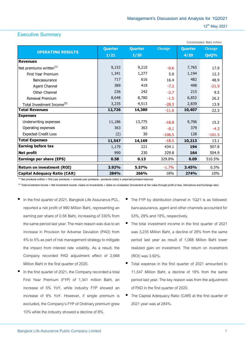Condolidated Baht, million

### **Executive Summary**

|                                        | Quarter | <b>Quarter</b> | <b>Change</b> | <b>Quarter</b> | <b>Change</b> |  |  |
|----------------------------------------|---------|----------------|---------------|----------------|---------------|--|--|
| <b>OPERATING RESULTS</b>               | 1/21    | 1/20           |               | 4/20           | QoQ%          |  |  |
| <b>Revenues</b>                        |         |                |               |                |               |  |  |
| Net premiums written <sup>(1)</sup>    | 9,153   | 9,210          | $-0.6$        | 7,765          | 17.9          |  |  |
| <b>First Year Premium</b>              | 1,341   | 1,277          | 5.0           | 1,194          | 12.3          |  |  |
| <b>Bancassurance</b>                   | 717     | 616            | 16.4          | 482            | 48.9          |  |  |
| Agent Channel                          | 389     | 419            | $-7.2$        | 498            | $-21.9$       |  |  |
| Other Channel                          | 236     | 242            | $-2.7$        | 215            | 9.5           |  |  |
| Renewal Premium                        | 8,648   | 8,780          | $-1.5$        | 6,852          | 26.2          |  |  |
| Total Investment Income <sup>(2)</sup> | 3,235   | 4,513          | $-28.3$       | 2,839          | 13.9          |  |  |
| <b>Total Revenues</b>                  | 12,726  | 14,389         | $-11.6$       | 10,407         | 22.3          |  |  |
| <b>Expenses</b>                        |         |                |               |                |               |  |  |
| Underwriting expenses                  | 11,186  | 13,775         | $-18.8$       | 9,706          | 15.2          |  |  |
| Operating expenses                     | 363     | 363            | $-0.1$        | 379            | $-4.3$        |  |  |
| <b>Expected Credit Loss</b>            | (2)     | 30             | $-106.5$      | 128            | $-101.5$      |  |  |
| <b>Total Expenses</b>                  | 11,547  | 14,169         | $-18.5$       | 10,213         | 13.1          |  |  |
| <b>Earning before tax</b>              | 1,179   | 221            | 434.1         | 194            | 507.8         |  |  |
| Net profit                             | 990     | 230            | 329.8         | 164            | 504.9         |  |  |
| <b>Earnings per share (EPS)</b>        | 0.58    | 0.13           | 329.8%        | 0.09           | 510.5%        |  |  |
| <b>Return on investment (ROI)</b>      | 3.92%   | 5.57%          | $-1.7%$       | 3.45%          | 0.5%          |  |  |
| <b>Capital Adequacy Ratio (CAR)</b>    | 284%    | 266%           | 18%           | 274%           | 10%           |  |  |

 $^{(1)}$  Net premiums written = first year premiums + renewal year premiums - premiums ceded  $\pm$  unearned premium reserves

(2) Total investment income = Net investment income +Gains on investments + Gains on revaluation (Investment at fair value through profit or loss, Derivatives and Exchange rate)

- In the first quarter of 2021, Bangkok Life Assurance PCL. reported a net profit of 990 Million Baht, representing an earning per share of 0.58 Baht, increasing of 330% from the same period last year. The main reason was due to an increase in Provision for Adverse Deviation (PAD) from 4% to 5% as part of risk management strategy to mitigate the impact from interest rate volatility. As a result, the Company recorded PAD adjustment effect of 2,668 Million Baht in the first quarter of 2020.
- In the first quarter of 2021, the Company recorded a total First Year Premium (FYP) of 1,341 million Baht, an increase of 5% YoY, while industry FYP showed an increase of 6% YoY. However, if single premium is excluded, the Company's FYP of Ordinary premium grew 10% while the industry showed a decline of 8%.
- The FYP by distribution channel in 1Q21 is as followed: bancassurance, agent and other channels accounted for 53%, 29% and 18%, respectively.
- The total investment income in the first quarter of 2021 was 3,235 Million Baht, a decline of 28% from the same period last year as result of 1,068 Million Baht lower realized gain on investment. The return on investment (ROI) was 3.92%.
- Total expense in the first quarter of 2021 amounted to 11,547 Million Baht, a decline of 19% from the same period last year. The key reason was from the adjustment of PAD in the first quarter of 2020.
- The Capital Adequacy Ratio (CAR) at the first quarter of 2021year was at 284%.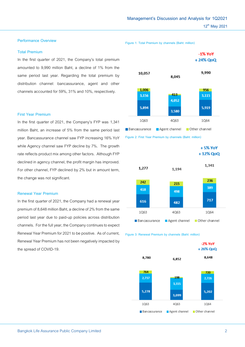### **Performance Overview**

### **Total Premium**

In the first quarter of 2021, the Company's total premium amounted to 9,990 million Baht, a decline of 1% from the same period last year. Regarding the total premium by distribution channel: bancassurance, agent and other channels accounted for 59%, 31% and 10%, respectively.

### **First Year Premium**

In the first quarter of 2021, the Company's FYP was 1,341 million Baht, an increase of 5% from the same period last year. Bancassurance channel saw FYP increasing 16% YoY while Agency channel saw FYP decline by 7%. The growth rate reflects product mix among other factors. Although FYP declined in agency channel, the profit margin has improved. For other channel, FYP declined by 2% but in amount term, the change was not significant.

### **Renewal Year Premium**

In the first quarter of 2021, the Company had a renewal year premium of 8,648 million Baht, a decline of 2% from the same period last year due to paid-up policies across distribution channels. For the full year, the Company continues to expect Renewal Year Premium for 2021 to be positive. As of current, Renewal Year Premium has not been negatively impacted by the spread of COVID-19.

 $-1\%$  YoY +24% QoQ 9,990 10,057 8,045 1,006 956 413 3,156 3,115 4,052 5.894 5.919 3.580 1063 4063 1064 Agent channel Other channel Bancassurance





### **Figure 3: Renewal Premium by channels (Baht: million)**

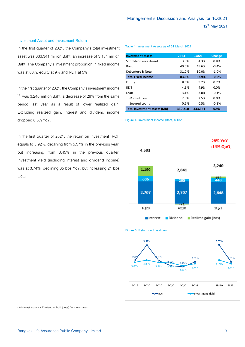### **Investment Asset and Investment Return**

In the first quarter of 2021, the Company's total investment asset was 333,341 million Baht, an increase of 3,131 million Baht. The Company's investment proportion in fixed income was at 83%, equity at 9% and REIT at 5%.

In the first quarter of 2021, the Company's investment income  $^{(3)}$  was 3,240 million Baht, a decrease of 28% from the same period last year as a result of lower realized gain. Excluding realized gain, interest and dividend income dropped 6.8% YoY.

In the first quarter of 2021, the return on investment (ROI) equals to 3.92%, declining from 5.57% in the previous year, but increasing from 3.45% in the previous quarter. Investment yield (including interest and dividend income) was at 3.74%, declining 35 bps YoY, but increasing 21 bps QoQ.

### **Table 1: Investment Assets as of 31 March 2021**

| <b>Investment assets</b>            | 2563    | <b>1Q64</b> | <b>Change</b> |  |
|-------------------------------------|---------|-------------|---------------|--|
| Short-term investment               | 3.5%    | 4.3%        | 0.8%          |  |
| Bond                                | 49.0%   | 48.6%       | $-0.4%$       |  |
| Debenture & Note                    | 31.0%   | 30.0%       | $-1.0%$       |  |
| <b>Total Fixed income</b>           | 83.5%   | 82.9%       | $-0.6%$       |  |
| Equity                              | 8.5%    | 9.2%        | 0.7%          |  |
| REIT                                | 4.9%    | 4.9%        | 0.0%          |  |
| Loan                                | 3.1%    | 3.0%        | $-0.1%$       |  |
| - Policy Loans                      | 2.5%    | 2.5%        | 0.0%          |  |
| - Secured Loans                     | 0.6%    | 0.5%        | $-0.1%$       |  |
| <b>Total Investment assets (MB)</b> | 330,210 | 333,341     | 0.9%          |  |

**Figure 4: Investment Income (Baht, Million)**





**Figure 5: Return on Investment**

(3) Interest income + Dividend + Profit (Loss) from Investment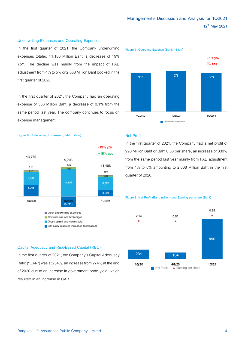resulted in an increase in CAR.

### **Underwriting Expenses and Operating Expenses**

In the first quarter of 2021, the Company underwriting expenses totaled 11,186 Million Baht, a decrease of 19% YoY. The decline was mainly from the impact of PAD adjustment from 4% to 5% or 2,668 Million Baht booked in the first quarter of 2020.

In the first quarter of 2021, the Company had an operating expense of 363 Million Baht, a decrease of 0.1% from the same period last year. The company continues to focus on expense management.



In the first quarter of 2021, the Company had a net profit of 990 Million Baht or Baht 0.58 per share, an increase of 330% from the same period last year mainly from PAD adjustment from 4% to 5% amounting to 2,668 Million Baht in the first quarter of 2020.

### **Figure 8: Net Profit (Baht, million) and Earning per share (Baht)**



### **Figure 6: Underwriting Expenses (Baht, million)**





 $0.58$ 

 $\bullet$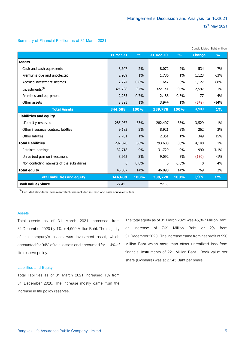### **Summary of Financial Position as of 31 March 2021**

|                                               |                  |               |           |               | Condolidated Baht, million |               |
|-----------------------------------------------|------------------|---------------|-----------|---------------|----------------------------|---------------|
|                                               | <b>31 Mar 21</b> | $\frac{9}{0}$ | 31 Dec 20 | $\frac{9}{0}$ | <b>Change</b>              | $\frac{9}{6}$ |
| <b>Assets</b>                                 |                  |               |           |               |                            |               |
| Cash and cash equivalents                     | 8,607            | 2%            | 8,072     | 2%            | 534                        | 7%            |
| Premiums due and uncollected                  | 2,909            | 1%            | 1,786     | $1\%$         | 1,123                      | 63%           |
| Accrued investment incomes                    | 2,774            | 0.8%          | 1,647     | $0\%$         | 1,127                      | 68%           |
| Investments <sup>(4)</sup>                    | 324,738          | 94%           | 322,141   | 95%           | 2,597                      | $1\%$         |
| Premises and equipment                        | 2,265            | 0.7%          | 2,188     | 0.6%          | 77                         | 4%            |
| Other assets                                  | 3,395            | $1\%$         | 3,944     | 1%            | (549)                      | $-14%$        |
| <b>Total Assets</b>                           | 344,688          | 100%          | 339,778   | 100%          | 4,909                      | 1%            |
| <b>Liabilities and equity</b>                 |                  |               |           |               |                            |               |
| Life policy reserves                          | 285,937          | 83%           | 282,407   | 83%           | 3,529                      | 1%            |
| Other insurance contract liabilities          | 9,183            | 3%            | 8,921     | 3%            | 262                        | 3%            |
| Other liabilities                             | 2,701            | 1%            | 2,351     | $1\%$         | 349                        | 15%           |
| <b>Total liabilities</b>                      | 297,820          | 86%           | 293,680   | 86%           | 4,140                      | $1\%$         |
| Retained earnings                             | 32,718           | 9%            | 31,729    | 9%            | 990                        | 3.1%          |
| Unrealized gain on investment                 | 8,962            | 3%            | 9,092     | 3%            | (130)                      | $-1\%$        |
| Non-controlling interests of the subsidiaries | $\mathbf{0}$     | 0.0%          | 0         | 0.0%          | 0                          | 4%            |
| <b>Total equity</b>                           | 46,867           | 14%           | 46,098    | 14%           | 769                        | 2%            |
| <b>Total liabilities and equity</b>           | 344,688          | 100%          | 339,778   | 100%          | 4,909                      | $1\%$         |
| <b>Book value/Share</b>                       | 27.45            |               | 27.00     |               |                            |               |

**(4) Excluded short-term investment which was included in Cash and cash equivalents item**

### **Assets**

Total assets as of 31 March 2021 increased from 31 December 2020 by 1% or 4,909 Million Baht. The majority of the company's assets was investment asset, which accounted for94% of total assets and accounted for 114% of life reserve policy.

### **Liabilities and Equity**

Total liabilities as of 31 March 2021 increased 1% from 31 December 2020. The increase mostly came from the increase in life policy reserves.

The total equity as of 31 March 2021 was 46,867 Million Baht, an increase of 769 Million Baht or 2% from 31 December2020. The increase came from net profit of 990 Million Baht which more than offset unrealized loss from financial instruments of 221 Million Baht. Book value per share (BV/share) was at 27.45 Baht per share.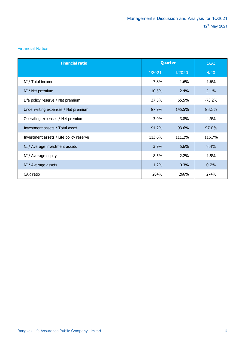## **Financial Ratios**

| <b>Financial ratio</b>                  | Quarter |         | QoQ       |
|-----------------------------------------|---------|---------|-----------|
|                                         | 1/2021  | 1/2020  | 4/20      |
| NI / Total income                       | 7.8%    | 1.6%    | 1.6%      |
| NI / Net premium                        | 10.5%   | $2.4\%$ | 2.1%      |
| Life policy reserve / Net premium       | 37.5%   | 65.5%   | $-73.2\%$ |
| Underwriting expenses / Net premium     | 87.9%   | 145.5%  | 93.3%     |
| Operating expenses / Net premium        | 3.9%    | 3.8%    | 4.9%      |
| Investment assets / Total asset         | 94.2%   | 93.6%   | 97.0%     |
| Investment assets / Life policy reserve | 113.6%  | 111.2%  | 116.7%    |
| NI / Average investment assets          | 3.9%    | 5.6%    | 3.4%      |
| NI / Average equity                     | 8.5%    | 2.2%    | 1.5%      |
| NI / Average assets                     | 1.2%    | 0.3%    | 0.2%      |
| CAR ratio                               | 284%    | 266%    | 274%      |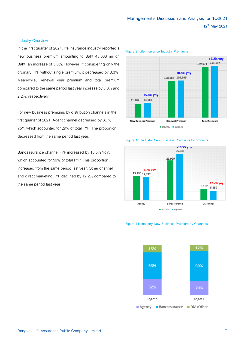# **Management's Discussion and Analysis for 1Q2021 12th May 2021**

+0.8% yoy

108,684 109,509

+2.2% yoy

149,971 153,197

### **Industry Overview**

In the first quarter of 2021, life insurance industry reported a new business premium amounting to Baht 43,688 million Baht, an increase of 5.8%. However, if considering only the ordinary FYP without single premium, it decreased by 8.3%. Meanwhile, Renewal year premium and total premium compared to the same period last year increase by 0.8% and 2.2%, respectively.

For new business premiums by distribution channels in the first quarter of 2021, Agent channel decreased by 3.7% YoY, which accounted for 29% of total FYP. The proportion decreased from the same period last year.

Bancassurance channel FYP increased by 16.5% YoY, which accounted for 59% of total FYP. This proportion increased from the same period last year. Other channel and direct marketing FYP declined by 12.2% compared to the same period last year.

**Figure 9: Life Insurance Industry Premiums** 

+5.8% yoy

43,688 41.287 New Business Premium **Penewal Premium Total Premium**  $102020$  102021